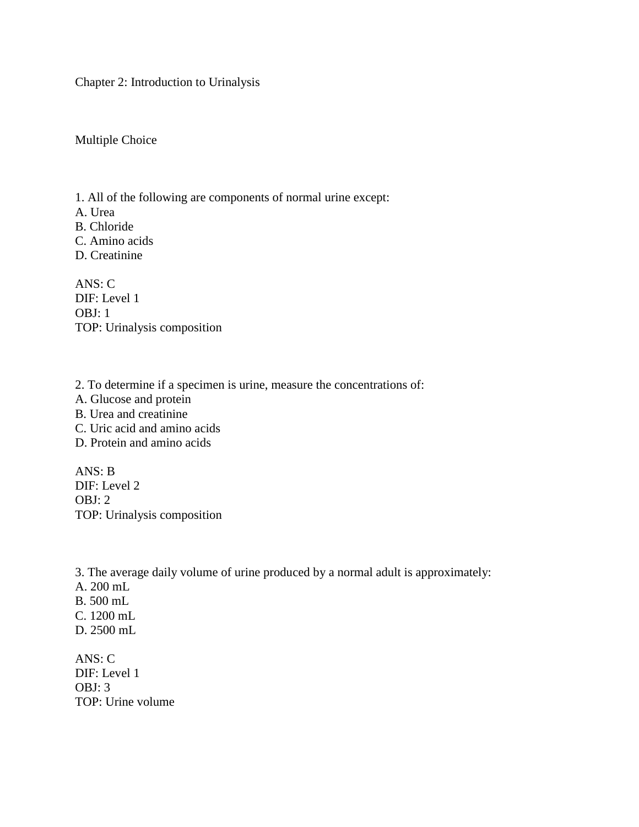Chapter 2: Introduction to Urinalysis

Multiple Choice

1. All of the following are components of normal urine except:

A. Urea

B. Chloride

C. Amino acids

D. Creatinine

ANS: C DIF: Level 1 OBJ: 1 TOP: Urinalysis composition

2. To determine if a specimen is urine, measure the concentrations of:

- A. Glucose and protein
- B. Urea and creatinine
- C. Uric acid and amino acids
- D. Protein and amino acids

ANS: B DIF: Level 2 OBJ: 2 TOP: Urinalysis composition

3. The average daily volume of urine produced by a normal adult is approximately: A. 200 mL B. 500 mL

- C. 1200 mL
- D. 2500 mL

ANS: C DIF: Level 1 OBJ: 3 TOP: Urine volume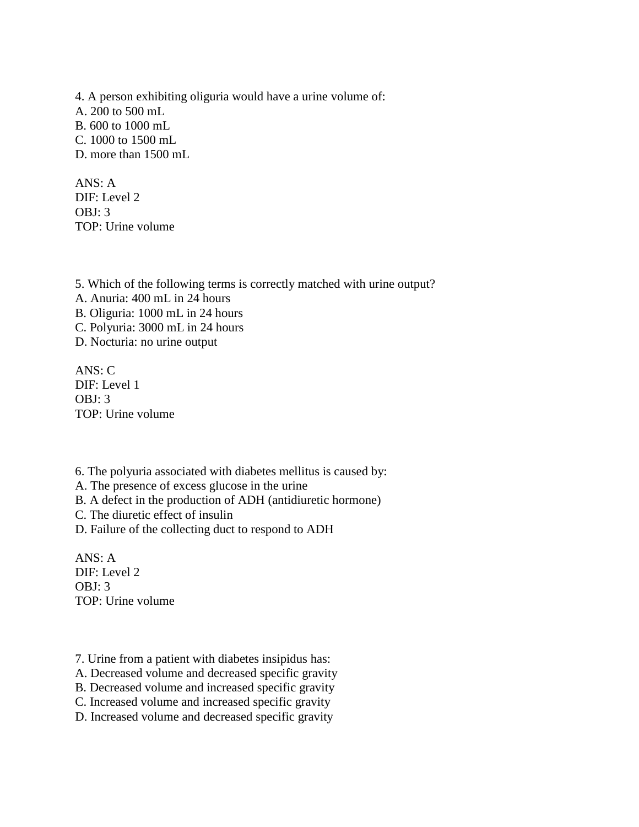4. A person exhibiting oliguria would have a urine volume of: A. 200 to 500 mL B. 600 to 1000 mL C. 1000 to 1500 mL D. more than 1500 mL

ANS: A DIF: Level 2 OBJ: 3 TOP: Urine volume

5. Which of the following terms is correctly matched with urine output? A. Anuria: 400 mL in 24 hours B. Oliguria: 1000 mL in 24 hours C. Polyuria: 3000 mL in 24 hours D. Nocturia: no urine output

ANS: C DIF: Level 1 OBJ: 3 TOP: Urine volume

6. The polyuria associated with diabetes mellitus is caused by:

A. The presence of excess glucose in the urine

B. A defect in the production of ADH (antidiuretic hormone)

C. The diuretic effect of insulin

D. Failure of the collecting duct to respond to ADH

ANS: A DIF: Level 2 OBJ: 3 TOP: Urine volume

7. Urine from a patient with diabetes insipidus has:

A. Decreased volume and decreased specific gravity

B. Decreased volume and increased specific gravity

C. Increased volume and increased specific gravity

D. Increased volume and decreased specific gravity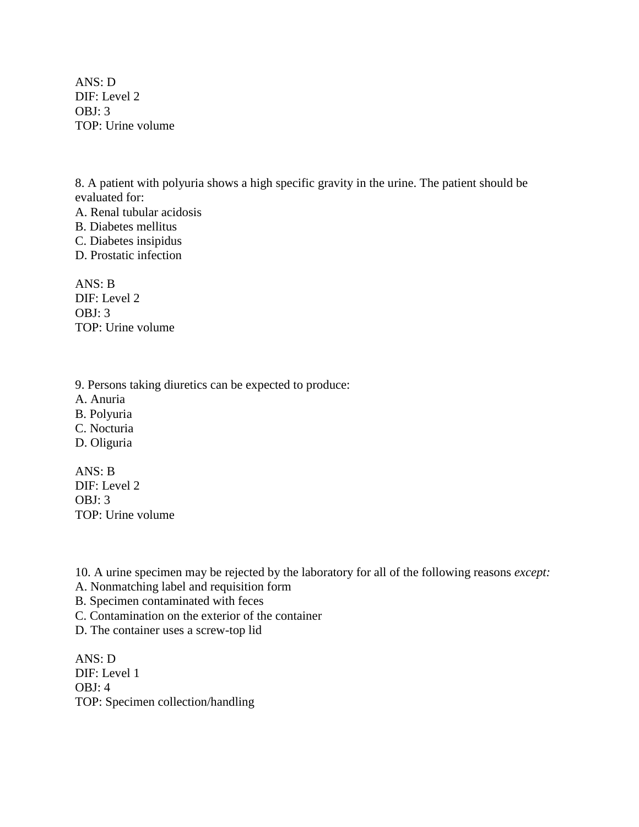ANS: D DIF: Level 2 OBJ: 3 TOP: Urine volume

8. A patient with polyuria shows a high specific gravity in the urine. The patient should be evaluated for:

A. Renal tubular acidosis B. Diabetes mellitus C. Diabetes insipidus

D. Prostatic infection

ANS: B DIF: Level 2 OBJ: 3 TOP: Urine volume

9. Persons taking diuretics can be expected to produce:

A. Anuria

- B. Polyuria
- C. Nocturia
- D. Oliguria

ANS: B DIF: Level 2  $OBI: 3$ TOP: Urine volume

10. A urine specimen may be rejected by the laboratory for all of the following reasons *except:*

- A. Nonmatching label and requisition form
- B. Specimen contaminated with feces
- C. Contamination on the exterior of the container

D. The container uses a screw-top lid

ANS: D DIF: Level 1 OBJ: 4 TOP: Specimen collection/handling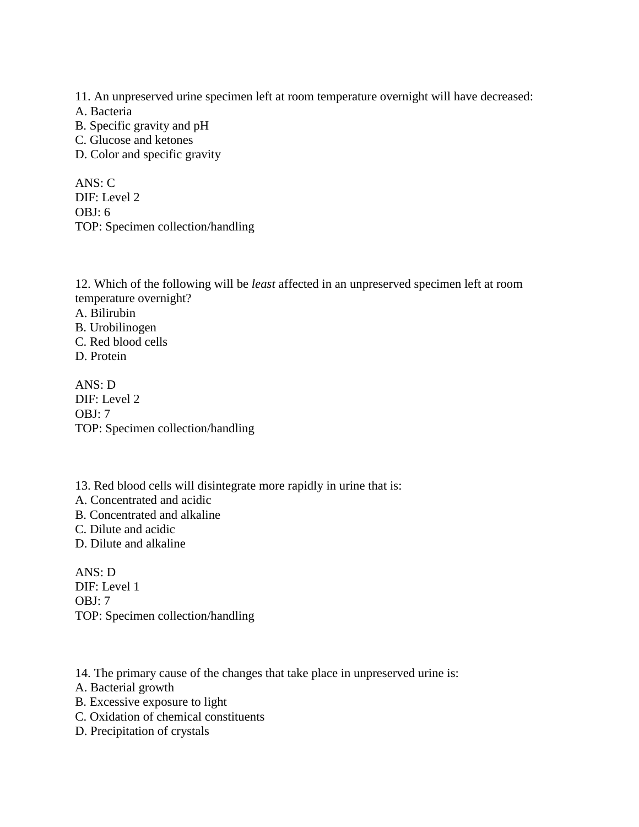11. An unpreserved urine specimen left at room temperature overnight will have decreased:

- A. Bacteria
- B. Specific gravity and pH
- C. Glucose and ketones
- D. Color and specific gravity

ANS: C DIF: Level 2 OBJ: 6 TOP: Specimen collection/handling

12. Which of the following will be *least* affected in an unpreserved specimen left at room temperature overnight?

- A. Bilirubin
- B. Urobilinogen
- C. Red blood cells
- D. Protein

ANS: D DIF: Level 2 OBJ: 7 TOP: Specimen collection/handling

13. Red blood cells will disintegrate more rapidly in urine that is: A. Concentrated and acidic B. Concentrated and alkaline C. Dilute and acidic D. Dilute and alkaline

ANS: D DIF: Level 1 OBJ: 7 TOP: Specimen collection/handling

14. The primary cause of the changes that take place in unpreserved urine is:

- A. Bacterial growth
- B. Excessive exposure to light
- C. Oxidation of chemical constituents
- D. Precipitation of crystals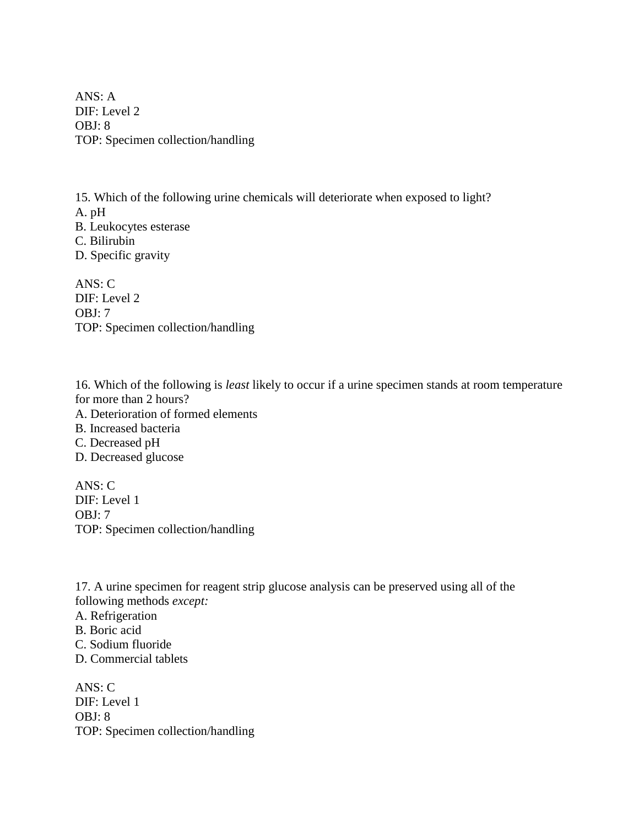ANS: A DIF: Level 2 OBJ: 8 TOP: Specimen collection/handling

15. Which of the following urine chemicals will deteriorate when exposed to light? A. pH B. Leukocytes esterase C. Bilirubin D. Specific gravity

ANS: C DIF: Level 2 OBJ: 7 TOP: Specimen collection/handling

16. Which of the following is *least* likely to occur if a urine specimen stands at room temperature for more than 2 hours?

A. Deterioration of formed elements

B. Increased bacteria

C. Decreased pH

D. Decreased glucose

ANS: C DIF: Level 1 OBJ: 7 TOP: Specimen collection/handling

17. A urine specimen for reagent strip glucose analysis can be preserved using all of the following methods *except:*

A. Refrigeration

B. Boric acid

C. Sodium fluoride

D. Commercial tablets

ANS: C DIF: Level 1 OBJ: 8 TOP: Specimen collection/handling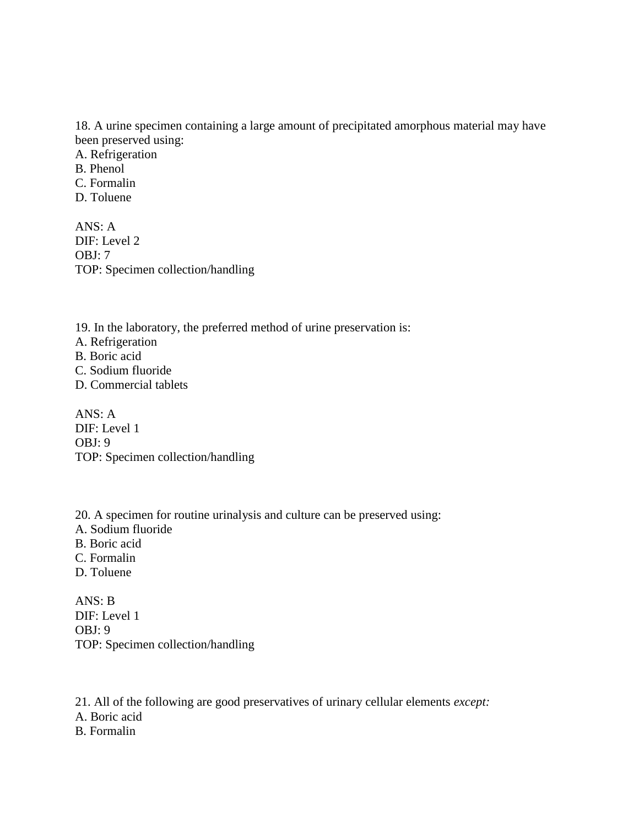18. A urine specimen containing a large amount of precipitated amorphous material may have been preserved using:

A. Refrigeration B. Phenol C. Formalin D. Toluene

 $ANS: A$ DIF: Level 2 OBJ: 7 TOP: Specimen collection/handling

19. In the laboratory, the preferred method of urine preservation is: A. Refrigeration B. Boric acid C. Sodium fluoride D. Commercial tablets

ANS: A DIF: Level 1 OBJ: 9 TOP: Specimen collection/handling

20. A specimen for routine urinalysis and culture can be preserved using:

- A. Sodium fluoride
- B. Boric acid
- C. Formalin
- D. Toluene

ANS: B DIF: Level 1 OBJ: 9 TOP: Specimen collection/handling

21. All of the following are good preservatives of urinary cellular elements *except:*

- A. Boric acid
- B. Formalin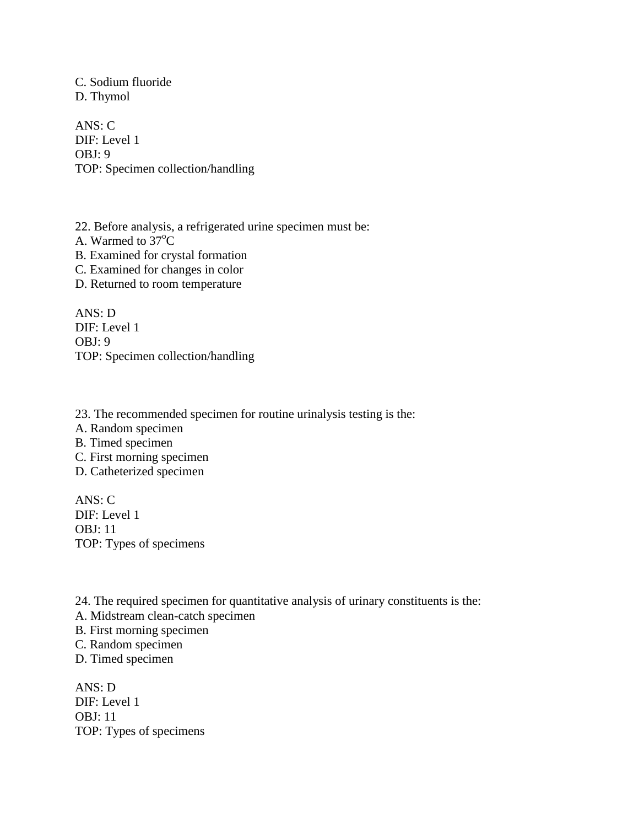C. Sodium fluoride D. Thymol

ANS: C DIF: Level 1 OBJ: 9 TOP: Specimen collection/handling

22. Before analysis, a refrigerated urine specimen must be: A. Warmed to  $37^{\circ}$ C B. Examined for crystal formation C. Examined for changes in color D. Returned to room temperature

ANS: D DIF: Level 1 OBJ: 9 TOP: Specimen collection/handling

23. The recommended specimen for routine urinalysis testing is the: A. Random specimen B. Timed specimen C. First morning specimen D. Catheterized specimen

ANS: C DIF: Level 1 OBJ: 11 TOP: Types of specimens

24. The required specimen for quantitative analysis of urinary constituents is the:

A. Midstream clean-catch specimen

B. First morning specimen

C. Random specimen

D. Timed specimen

ANS: D DIF: Level 1 OBJ: 11 TOP: Types of specimens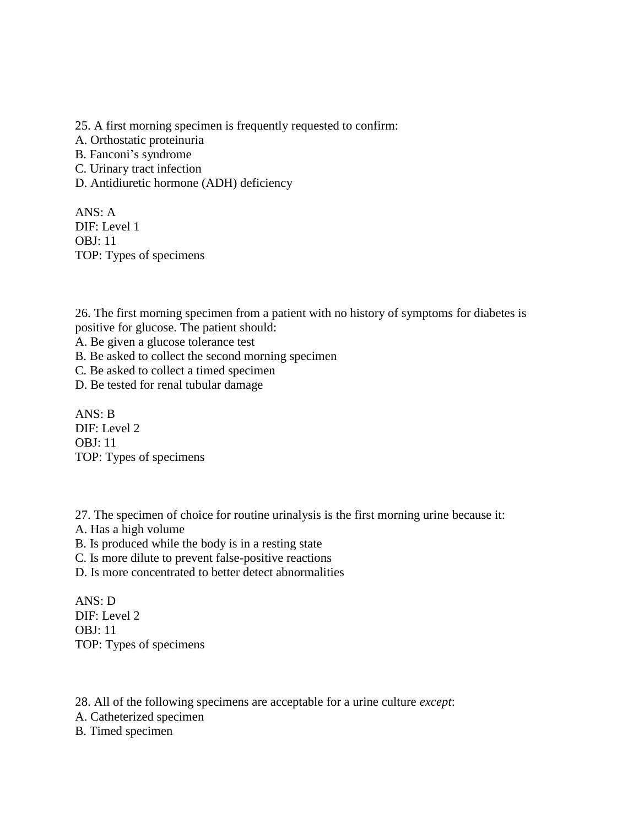25. A first morning specimen is frequently requested to confirm:

- A. Orthostatic proteinuria
- B. Fanconi's syndrome
- C. Urinary tract infection
- D. Antidiuretic hormone (ADH) deficiency

ANS: A DIF: Level 1 OBJ: 11 TOP: Types of specimens

26. The first morning specimen from a patient with no history of symptoms for diabetes is positive for glucose. The patient should:

A. Be given a glucose tolerance test

- B. Be asked to collect the second morning specimen
- C. Be asked to collect a timed specimen
- D. Be tested for renal tubular damage

ANS: B DIF: Level 2 OBJ: 11 TOP: Types of specimens

27. The specimen of choice for routine urinalysis is the first morning urine because it:

- A. Has a high volume
- B. Is produced while the body is in a resting state
- C. Is more dilute to prevent false-positive reactions
- D. Is more concentrated to better detect abnormalities

ANS: D DIF: Level 2 OBJ: 11 TOP: Types of specimens

28. All of the following specimens are acceptable for a urine culture *except*:

A. Catheterized specimen

B. Timed specimen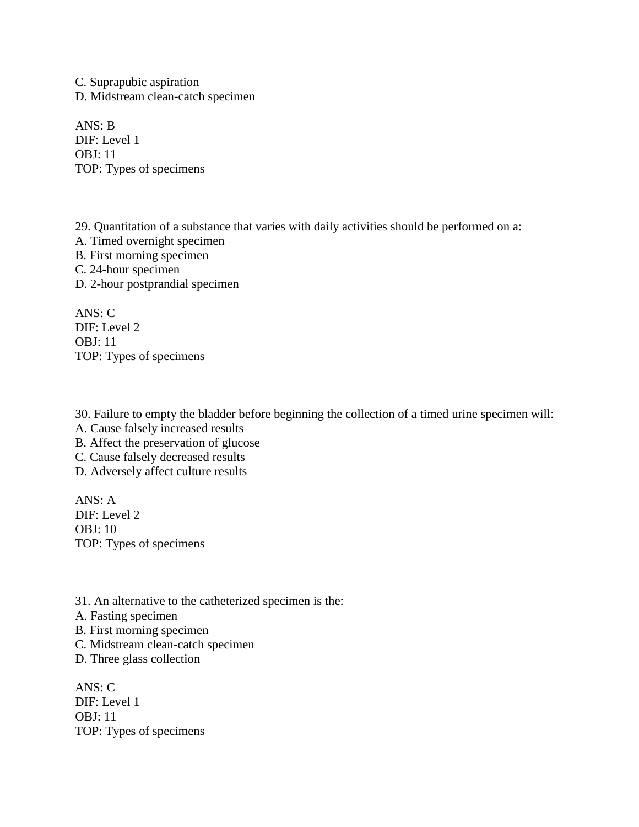C. Suprapubic aspiration D. Midstream clean-catch specimen

ANS: B DIF: Level 1 OBJ: 11 TOP: Types of specimens

29. Quantitation of a substance that varies with daily activities should be performed on a: A. Timed overnight specimen B. First morning specimen C. 24-hour specimen D. 2-hour postprandial specimen

ANS: C DIF: Level 2 OBJ: 11 TOP: Types of specimens

30. Failure to empty the bladder before beginning the collection of a timed urine specimen will:

A. Cause falsely increased results

B. Affect the preservation of glucose

C. Cause falsely decreased results

D. Adversely affect culture results

ANS: A DIF: Level 2 OBJ: 10 TOP: Types of specimens

31. An alternative to the catheterized specimen is the:

A. Fasting specimen

B. First morning specimen

C. Midstream clean-catch specimen

D. Three glass collection

ANS: C DIF: Level 1 OBJ: 11 TOP: Types of specimens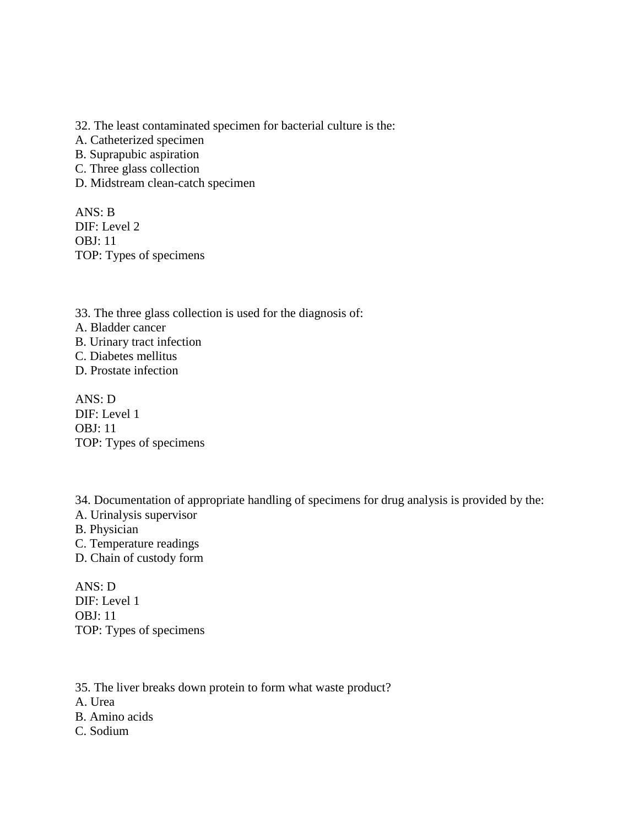32. The least contaminated specimen for bacterial culture is the:

A. Catheterized specimen

B. Suprapubic aspiration

- C. Three glass collection
- D. Midstream clean-catch specimen

ANS: B DIF: Level 2 OBJ: 11 TOP: Types of specimens

33. The three glass collection is used for the diagnosis of: A. Bladder cancer B. Urinary tract infection C. Diabetes mellitus D. Prostate infection

ANS: D DIF: Level 1 OBJ: 11 TOP: Types of specimens

34. Documentation of appropriate handling of specimens for drug analysis is provided by the: A. Urinalysis supervisor B. Physician C. Temperature readings

D. Chain of custody form

ANS: D DIF: Level 1 OBJ: 11 TOP: Types of specimens

35. The liver breaks down protein to form what waste product? A. Urea B. Amino acids C. Sodium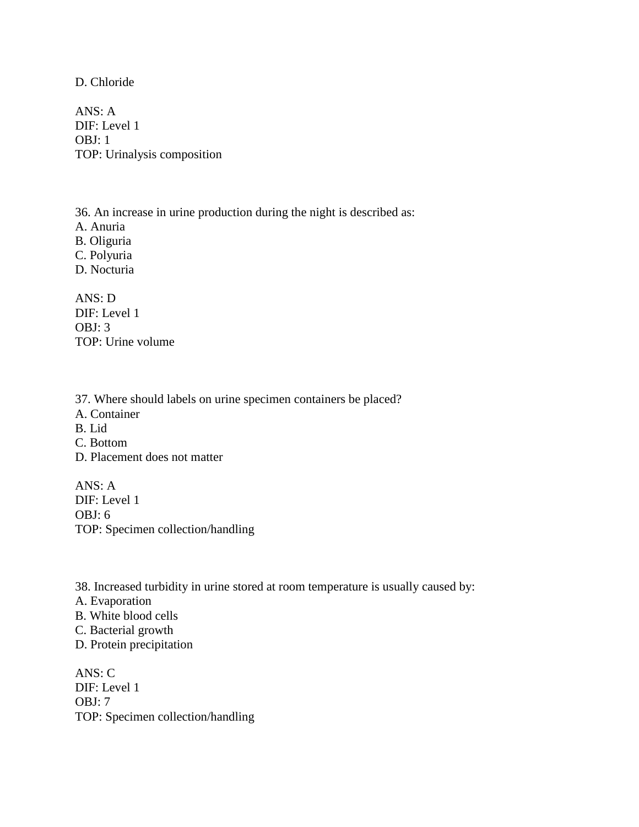D. Chloride

ANS: A DIF: Level 1 OBJ: 1 TOP: Urinalysis composition

36. An increase in urine production during the night is described as: A. Anuria B. Oliguria C. Polyuria D. Nocturia

ANS: D DIF: Level 1 OBJ: 3 TOP: Urine volume

37. Where should labels on urine specimen containers be placed? A. Container B. Lid C. Bottom D. Placement does not matter

ANS: A DIF: Level 1 OBJ: 6 TOP: Specimen collection/handling

- 38. Increased turbidity in urine stored at room temperature is usually caused by:
- A. Evaporation
- B. White blood cells
- C. Bacterial growth
- D. Protein precipitation

ANS: C DIF: Level 1 OBJ: 7 TOP: Specimen collection/handling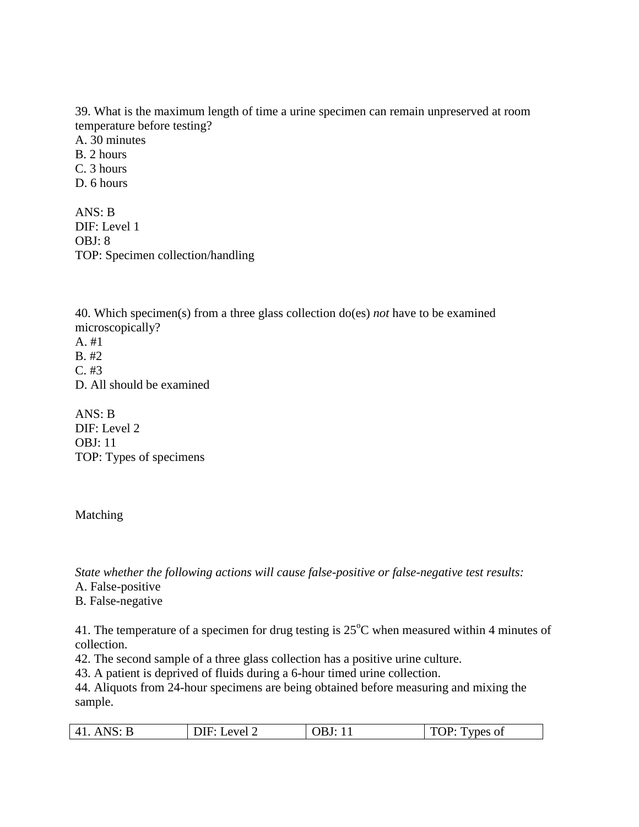39. What is the maximum length of time a urine specimen can remain unpreserved at room temperature before testing?

A. 30 minutes B. 2 hours C. 3 hours

D. 6 hours

ANS: B DIF: Level 1 OBJ: 8 TOP: Specimen collection/handling

40. Which specimen(s) from a three glass collection do(es) *not* have to be examined microscopically?

A. #1 B. #2  $C. \#3$ D. All should be examined

ANS: B DIF: Level 2 OBJ: 11 TOP: Types of specimens

## Matching

*State whether the following actions will cause false-positive or false-negative test results:*

A. False-positive

B. False-negative

41. The temperature of a specimen for drug testing is  $25^{\circ}$ C when measured within 4 minutes of collection.

42. The second sample of a three glass collection has a positive urine culture.

43. A patient is deprived of fluids during a 6-hour timed urine collection.

44. Aliquots from 24-hour specimens are being obtained before measuring and mixing the sample.

| $41.$ ANS: B<br>TOP:<br>OBJ: $1'$<br>DIF:<br>Level 2<br>Types of |  |
|------------------------------------------------------------------|--|
|------------------------------------------------------------------|--|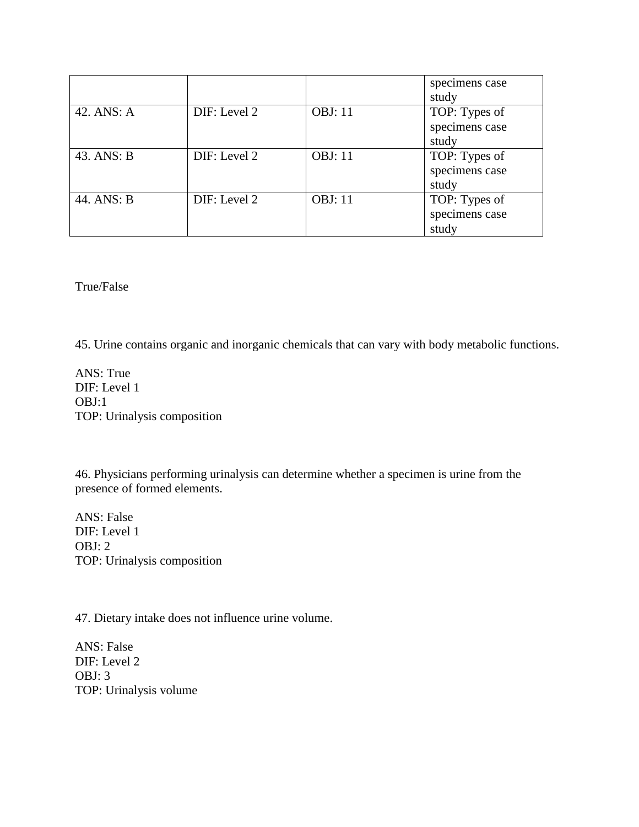|            |              |                 | specimens case<br>study                  |
|------------|--------------|-----------------|------------------------------------------|
| 42. ANS: A | DIF: Level 2 | <b>OBJ</b> : 11 | TOP: Types of<br>specimens case<br>study |
| 43. ANS: B | DIF: Level 2 | <b>OBJ: 11</b>  | TOP: Types of<br>specimens case<br>study |
| 44. ANS: B | DIF: Level 2 | <b>OBJ</b> : 11 | TOP: Types of<br>specimens case<br>study |

True/False

45. Urine contains organic and inorganic chemicals that can vary with body metabolic functions.

ANS: True DIF: Level 1 OBJ:1 TOP: Urinalysis composition

46. Physicians performing urinalysis can determine whether a specimen is urine from the presence of formed elements.

ANS: False DIF: Level 1 OBJ: 2 TOP: Urinalysis composition

47. Dietary intake does not influence urine volume.

ANS: False DIF: Level 2 OBJ: 3 TOP: Urinalysis volume